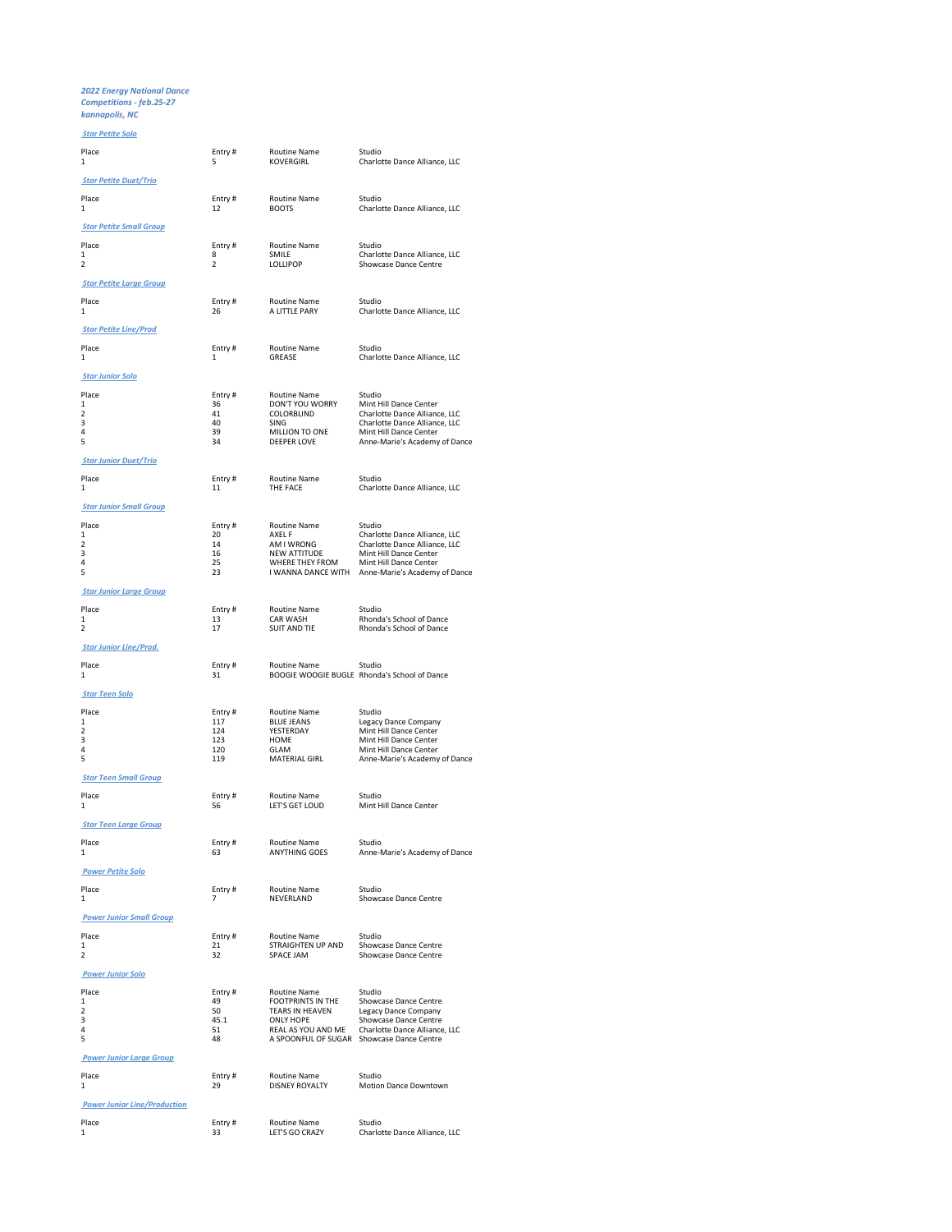2022 Energy National Dance Competitions - feb.25-27 kannapolis, NC

## Star Petite Solo

| Place<br>$\mathbf{1}$                        | Entry#<br>5                   | <b>Routine Name</b><br>KOVERGIRL          | Studio<br>Charlotte Dance Alliance, LLC                          |
|----------------------------------------------|-------------------------------|-------------------------------------------|------------------------------------------------------------------|
| <b>Star Petite Duet/Trio</b>                 |                               |                                           |                                                                  |
| Place<br>$\mathbf{1}$                        | Entry#<br>12                  | Routine Name<br><b>BOOTS</b>              | Studio<br>Charlotte Dance Alliance, LLC                          |
| <b>Star Petite Small Group</b>               |                               |                                           |                                                                  |
| Place<br>$\mathbf{1}$<br>$\overline{2}$      | Entry#<br>8<br>$\overline{2}$ | <b>Routine Name</b><br>SMILE<br>LOLLIPOP  | Studio<br>Charlotte Dance Alliance, LLC<br>Showcase Dance Centre |
| <b>Star Petite Large Group</b>               |                               |                                           |                                                                  |
| Place<br>$\mathbf{1}$                        | Entry#<br>26                  | Routine Name<br>A LITTLE PARY             | Studio<br>Charlotte Dance Alliance, LLC                          |
| <b>Star Petite Line/Prod</b>                 |                               |                                           |                                                                  |
| Place<br>1                                   | Entry #<br>1                  | <b>Routine Name</b><br>GREASE             | Studio<br>Charlotte Dance Alliance, LLC                          |
| <b>Star Junior Solo</b>                      |                               |                                           |                                                                  |
| Place<br>$\mathbf{1}$                        | Entry#<br>36                  | <b>Routine Name</b><br>DON'T YOU WORRY    | Studio<br>Mint Hill Dance Center                                 |
| $\overline{2}$<br>3                          | 41<br>40                      | COLORBLIND<br>SING                        | Charlotte Dance Alliance, LLC<br>Charlotte Dance Alliance, LLC   |
| $\overline{4}$<br>5                          | 39<br>34                      | MILLION TO ONE<br><b>DEEPER LOVE</b>      | Mint Hill Dance Center                                           |
|                                              |                               |                                           | Anne-Marie's Academy of Dance                                    |
| <b>Star Junior Duet/Trio</b>                 |                               |                                           |                                                                  |
| Place<br>1<br><b>Star Junior Small Group</b> | Entry #<br>11                 | <b>Routine Name</b><br>THE FACE           | Studio<br>Charlotte Dance Alliance, LLC                          |
| Place                                        |                               | <b>Routine Name</b>                       | Studio                                                           |
| $\mathbf{1}$                                 | Entry#<br>20                  | AXEL F                                    | Charlotte Dance Alliance, LLC                                    |
| $\overline{2}$<br>3                          | 14<br>16                      | AM I WRONG<br><b>NEW ATTITUDE</b>         | Charlotte Dance Alliance, LLC<br>Mint Hill Dance Center          |
| 4<br>5                                       | 25<br>23                      | WHERE THEY FROM<br>I WANNA DANCE WITH     | Mint Hill Dance Center<br>Anne-Marie's Academy of Dance          |
| <b>Star Junior Large Group</b>               |                               |                                           |                                                                  |
| Place                                        | Entry#                        | <b>Routine Name</b>                       | Studio                                                           |
| $\mathbf{1}$<br>$\overline{2}$               | 13<br>17                      | CAR WASH<br><b>SUIT AND TIE</b>           | Rhonda's School of Dance<br>Rhonda's School of Dance             |
| <b>Star Junior Line/Prod.</b>                |                               |                                           |                                                                  |
| Place                                        | Entry#                        | <b>Routine Name</b>                       | Studio                                                           |
| 1                                            | 31                            |                                           | BOOGIE WOOGIE BUGLE Rhonda's School of Dance                     |
| <b>Star Teen Solo</b>                        |                               |                                           |                                                                  |
| Place                                        | Entry#                        | Routine Name                              | Studio                                                           |
| $\mathbf{1}$<br>$\overline{2}$               | 117<br>124                    | <b>BLUE JEANS</b><br>YESTERDAY            | Legacy Dance Company<br>Mint Hill Dance Center                   |
| 3<br>4                                       | 123<br>120                    | HOME<br>GLAM                              | Mint Hill Dance Center<br>Mint Hill Dance Center                 |
| 5                                            | 119                           | MATERIAL GIRL                             | Anne-Marie's Academy of Dance                                    |
| <b>Star Teen Small Group</b>                 |                               |                                           |                                                                  |
| Place<br>1                                   | Entry#<br>56                  | Routine Name<br>LET'S GET LOUD            | Studio<br>Mint Hill Dance Center                                 |
| <b>Star Teen Large Group</b>                 |                               |                                           |                                                                  |
| Place<br>1                                   | Entry #<br>63                 | <b>Routine Name</b><br>ANYTHING GOES      | Studio<br>Anne-Marie's Academy of Dance                          |
| <b>Power Petite Solo</b>                     |                               |                                           |                                                                  |
| Place<br>1                                   | Entry#<br>$\overline{7}$      | Routine Name<br>NEVERLAND                 | Studio<br>Showcase Dance Centre                                  |
| <b>Power Junior Small Group</b>              |                               |                                           |                                                                  |
| Place<br>$\mathbf{1}$                        | Entry#<br>21                  | Routine Name<br>STRAIGHTEN UP AND         | Studio<br>Showcase Dance Centre                                  |
| $\overline{\phantom{a}}$                     | 32                            | SPACE JAM                                 | Showcase Dance Centre                                            |
| <b>Power Junior Solo</b>                     |                               |                                           |                                                                  |
| Place                                        | Entry#                        | <b>Routine Name</b>                       | Studio                                                           |
| $\mathbf{1}$<br>$\overline{\phantom{a}}$     | 49<br>50                      | FOOTPRINTS IN THE<br>TEARS IN HEAVEN      | Showcase Dance Centre<br>Legacy Dance Company                    |
| 3<br>$\overline{4}$                          | 45.1<br>51                    | <b>ONLY HOPE</b><br>REAL AS YOU AND ME    | Showcase Dance Centre<br>Charlotte Dance Alliance, LLC           |
| 5                                            | 48                            | A SPOONFUL OF SUGAR Showcase Dance Centre |                                                                  |
| <b>Power Junior Large Group</b>              |                               |                                           |                                                                  |
| Place<br>1                                   | Entry#<br>29                  | Routine Name<br><b>DISNEY ROYALTY</b>     | Studio<br>Motion Dance Downtown                                  |
| <b>Power Junior Line/Production</b>          |                               |                                           |                                                                  |
| Place                                        |                               | Routine Name                              | Studio                                                           |
| 1                                            | Entry#<br>33                  | LET'S GO CRAZY                            | Charlotte Dance Alliance, LLC                                    |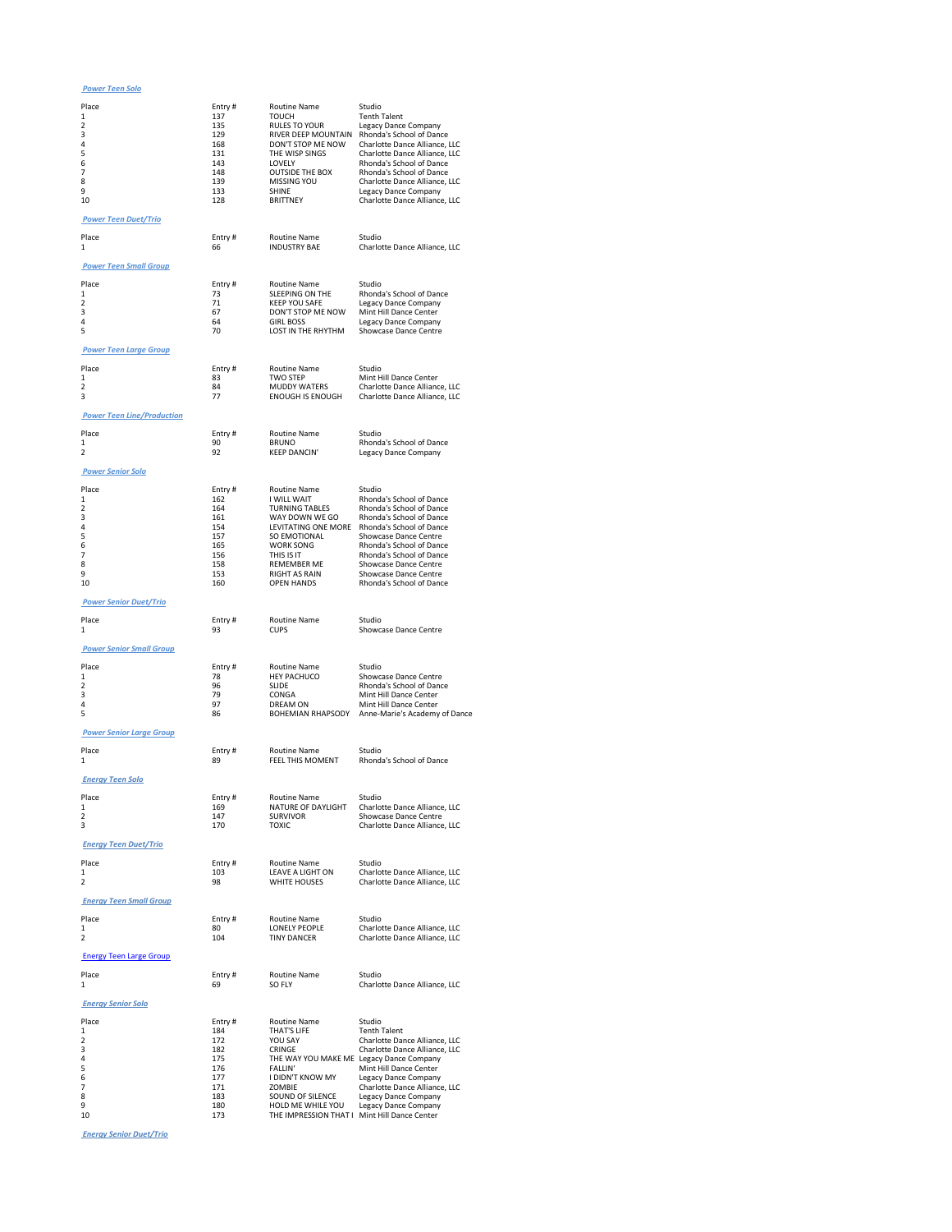Power Teen Solo

| Place                             | Entry #        | <b>Routine Name</b>                          | Studio                                                         |
|-----------------------------------|----------------|----------------------------------------------|----------------------------------------------------------------|
| $\mathbf{1}$<br>2                 | 137<br>135     | <b>TOUCH</b><br><b>RULES TO YOUR</b>         | <b>Tenth Talent</b><br>Legacy Dance Company                    |
| 3<br>4                            | 129<br>168     | RIVER DEEP MOUNTAIN<br>DON'T STOP ME NOW     | Rhonda's School of Dance<br>Charlotte Dance Alliance, LLC      |
| 5                                 | 131            | THE WISP SINGS                               | Charlotte Dance Alliance, LLC                                  |
| 6<br>7                            | 143<br>148     | <b>LOVELY</b><br><b>OUTSIDE THE BOX</b>      | Rhonda's School of Dance<br>Rhonda's School of Dance           |
| 8                                 | 139            | MISSING YOU                                  | Charlotte Dance Alliance, LLC                                  |
| 9<br>10                           | 133<br>128     | <b>SHINF</b><br><b>BRITTNEY</b>              | Legacy Dance Company<br>Charlotte Dance Alliance, LLC          |
| <b>Power Teen Duet/Trio</b>       |                |                                              |                                                                |
| Place                             | Entry #        | <b>Routine Name</b>                          | Studio                                                         |
| 1                                 | 66             | <b>INDUSTRY BAE</b>                          | Charlotte Dance Alliance, LLC                                  |
| <b>Power Teen Small Group</b>     |                |                                              |                                                                |
| Place                             | Entry #        | <b>Routine Name</b>                          | Studio                                                         |
| 1                                 | 73             | <b>SLEEPING ON THE</b>                       | Rhonda's School of Dance                                       |
| 2<br>3                            | 71<br>67       | <b>KEEP YOU SAFE</b><br>DON'T STOP ME NOW    | Legacy Dance Company<br>Mint Hill Dance Center                 |
| 4<br>5                            | 64<br>70       | <b>GIRL BOSS</b><br>LOST IN THE RHYTHM       | Legacy Dance Company<br>Showcase Dance Centre                  |
|                                   |                |                                              |                                                                |
| <b>Power Teen Large Group</b>     |                |                                              |                                                                |
| Place<br>$\mathbf{1}$             | Entry#<br>83   | <b>Routine Name</b><br><b>TWO STEP</b>       | Studio<br>Mint Hill Dance Center                               |
| $\overline{\phantom{a}}$          | 84             | <b>MUDDY WATERS</b>                          | Charlotte Dance Alliance, LLC                                  |
| 3                                 | 77             | <b>ENOUGH IS ENOUGH</b>                      | Charlotte Dance Alliance, LLC                                  |
| <b>Power Teen Line/Production</b> |                |                                              |                                                                |
| Place<br>$\mathbf{1}$             | Entry #<br>90  | <b>Routine Name</b><br><b>BRUNO</b>          | Studio<br>Rhonda's School of Dance                             |
| $\overline{2}$                    | 92             | <b>KEEP DANCIN'</b>                          | Legacy Dance Company                                           |
| <b>Power Senior Solo</b>          |                |                                              |                                                                |
| Place                             | Entry#         | <b>Routine Name</b>                          | Studio                                                         |
| 1<br>2                            | 162<br>164     | I WILL WAIT<br><b>TURNING TABLES</b>         | Rhonda's School of Dance<br>Rhonda's School of Dance           |
| 3                                 | 161            | WAY DOWN WE GO                               | Rhonda's School of Dance                                       |
| 4<br>5                            | 154<br>157     | LEVITATING ONE MORE<br>SO EMOTIONAL          | Rhonda's School of Dance<br>Showcase Dance Centre              |
| 6                                 | 165            | <b>WORK SONG</b>                             | Rhonda's School of Dance                                       |
| 7<br>8                            | 156<br>158     | THIS IS IT<br><b>REMEMBER ME</b>             | Rhonda's School of Dance<br>Showcase Dance Centre              |
| 9<br>10                           | 153<br>160     | <b>RIGHT AS RAIN</b><br><b>OPEN HANDS</b>    | Showcase Dance Centre<br>Rhonda's School of Dance              |
|                                   |                |                                              |                                                                |
| <b>Power Senior Duet/Trio</b>     |                |                                              |                                                                |
| Place<br>1                        | Entry #<br>93  | <b>Routine Name</b><br><b>CUPS</b>           | Studio<br>Showcase Dance Centre                                |
| <b>Power Senior Small Group</b>   |                |                                              |                                                                |
|                                   |                |                                              | Studio                                                         |
| Place<br>1                        | Entry #<br>78  | <b>Routine Name</b><br><b>HEY PACHUCO</b>    | Showcase Dance Centre                                          |
| 2<br>3                            | 96<br>79       | <b>SLIDE</b><br>CONGA                        | Rhonda's School of Dance<br>Mint Hill Dance Center             |
| 4                                 | 97             | DRFAM ON                                     | Mint Hill Dance Center                                         |
| 5                                 | 86             | <b>BOHEMIAN RHAPSODY</b>                     | Anne-Marie's Academy of Dance                                  |
| <b>Power Senior Large Group</b>   |                |                                              |                                                                |
| Place<br>1                        | Entry #<br>89  | <b>Routine Name</b>                          | Studio                                                         |
|                                   |                | FEEL THIS MOMENT                             | Rhonda's School of Dance                                       |
| <b>Energy Teen Solo</b>           |                |                                              |                                                                |
| Place<br>1                        | Entry#         | Routine Name<br>NATURE OF DAYLIGHT           | Studio<br>Charlotte Dance Alliance, LLC                        |
| $\mathcal{P}$                     | 169<br>147     | <b>SURVIVOR</b>                              | Showcase Dance Centre                                          |
| 3                                 | 170            | <b>TOXIC</b>                                 | Charlotte Dance Alliance, LLC                                  |
| <b>Energy Teen Duet/Trio</b>      |                |                                              |                                                                |
| Place                             | Entry #        | <b>Routine Name</b>                          | Studio                                                         |
| 1<br>$\mathcal{P}$                | 103<br>98      | LEAVE A LIGHT ON<br>WHITE HOUSES             | Charlotte Dance Alliance, LLC<br>Charlotte Dance Alliance, LLC |
| <b>Energy Teen Small Group</b>    |                |                                              |                                                                |
| Place                             | Entry #        | Routine Name                                 | Studio                                                         |
| 1                                 | 80             | LONELY PEOPLE                                | Charlotte Dance Alliance, LLC                                  |
| 2                                 | 104            | <b>TINY DANCER</b>                           | Charlotte Dance Alliance, LLC                                  |
| <b>Energy Teen Large Group</b>    |                |                                              |                                                                |
| Place<br>1                        | Entry #<br>69  | <b>Routine Name</b><br>SO FLY                | Studio<br>Charlotte Dance Alliance, LLC                        |
| <b>Energy Senior Solo</b>         |                |                                              |                                                                |
| Place                             |                | <b>Routine Name</b>                          | Studio                                                         |
| 1                                 | Entry #<br>184 | THAT'S LIFE                                  | <b>Tenth Talent</b>                                            |
| 2<br>3                            | 172<br>182     | YOU SAY<br>CRINGE                            | Charlotte Dance Alliance, LLC<br>Charlotte Dance Alliance, LLC |
| 4                                 | 175            | THE WAY YOU MAKE ME Legacy Dance Company     |                                                                |
| 5<br>6                            | 176<br>177     | <b>FALLIN'</b><br>I DIDN'T KNOW MY           | Mint Hill Dance Center<br>Legacy Dance Company                 |
| $\overline{7}$<br>8               | 171<br>183     | ZOMBIE<br>SOUND OF SILENCE                   | Charlotte Dance Alliance, LLC                                  |
| 9                                 | 180            | HOLD ME WHILE YOU                            | Legacy Dance Company<br>Legacy Dance Company                   |
| 10                                | 173            | THE IMPRESSION THAT I Mint Hill Dance Center |                                                                |

Energy Senior Duet/Trio